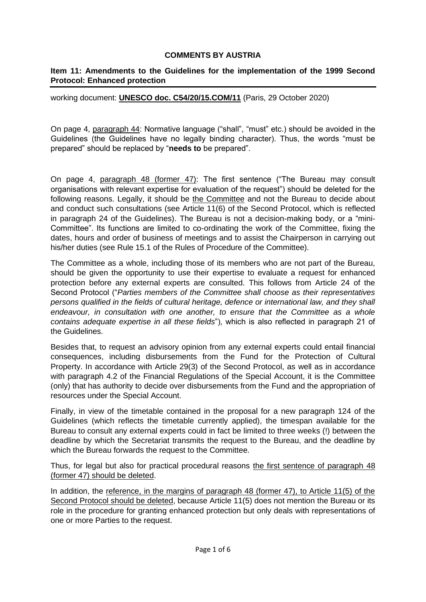## **COMMENTS BY AUSTRIA**

## **Item 11: Amendments to the Guidelines for the implementation of the 1999 Second Protocol: Enhanced protection**

working document: **UNESCO doc. C54/20/15.COM/11** (Paris, 29 October 2020)

On page 4, paragraph 44: Normative language ("shall", "must" etc.) should be avoided in the Guidelines (the Guidelines have no legally binding character). Thus, the words "must be prepared" should be replaced by "**needs to** be prepared".

On page 4, paragraph 48 (former 47): The first sentence ("The Bureau may consult organisations with relevant expertise for evaluation of the request") should be deleted for the following reasons. Legally, it should be the Committee and not the Bureau to decide about and conduct such consultations (see Article 11(6) of the Second Protocol, which is reflected in paragraph 24 of the Guidelines). The Bureau is not a decision-making body, or a "mini-Committee". Its functions are limited to co-ordinating the work of the Committee, fixing the dates, hours and order of business of meetings and to assist the Chairperson in carrying out his/her duties (see Rule 15.1 of the Rules of Procedure of the Committee).

The Committee as a whole, including those of its members who are not part of the Bureau, should be given the opportunity to use their expertise to evaluate a request for enhanced protection before any external experts are consulted. This follows from Article 24 of the Second Protocol ("*Parties members of the Committee shall choose as their representatives persons qualified in the fields of cultural heritage, defence or international law, and they shall endeavour, in consultation with one another, to ensure that the Committee as a whole contains adequate expertise in all these fields*"), which is also reflected in paragraph 21 of the Guidelines.

Besides that, to request an advisory opinion from any external experts could entail financial consequences, including disbursements from the Fund for the Protection of Cultural Property. In accordance with Article 29(3) of the Second Protocol, as well as in accordance with paragraph 4.2 of the Financial Regulations of the Special Account, it is the Committee (only) that has authority to decide over disbursements from the Fund and the appropriation of resources under the Special Account.

Finally, in view of the timetable contained in the proposal for a new paragraph 124 of the Guidelines (which reflects the timetable currently applied), the timespan available for the Bureau to consult any external experts could in fact be limited to three weeks (!) between the deadline by which the Secretariat transmits the request to the Bureau, and the deadline by which the Bureau forwards the request to the Committee.

Thus, for legal but also for practical procedural reasons the first sentence of paragraph 48 (former 47) should be deleted.

In addition, the reference, in the margins of paragraph 48 (former 47), to Article 11(5) of the Second Protocol should be deleted, because Article 11(5) does not mention the Bureau or its role in the procedure for granting enhanced protection but only deals with representations of one or more Parties to the request.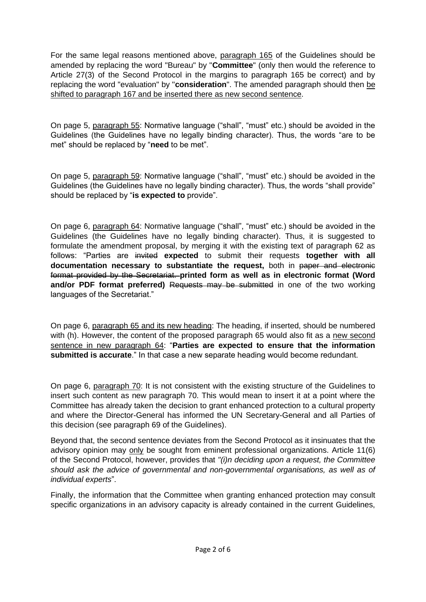For the same legal reasons mentioned above, paragraph 165 of the Guidelines should be amended by replacing the word "Bureau" by "**Committee**" (only then would the reference to Article 27(3) of the Second Protocol in the margins to paragraph 165 be correct) and by replacing the word "evaluation" by "**consideration**". The amended paragraph should then be shifted to paragraph 167 and be inserted there as new second sentence.

On page 5, paragraph 55: Normative language ("shall", "must" etc.) should be avoided in the Guidelines (the Guidelines have no legally binding character). Thus, the words "are to be met" should be replaced by "**need** to be met".

On page 5, paragraph 59: Normative language ("shall", "must" etc.) should be avoided in the Guidelines (the Guidelines have no legally binding character). Thus, the words "shall provide" should be replaced by "**is expected to** provide".

On page 6, paragraph 64: Normative language ("shall", "must" etc.) should be avoided in the Guidelines (the Guidelines have no legally binding character). Thus, it is suggested to formulate the amendment proposal, by merging it with the existing text of paragraph 62 as follows: "Parties are invited **expected** to submit their requests **together with all documentation necessary to substantiate the request,** both in paper and electronic format provided by the Secretariat. **printed form as well as in electronic format (Word**  and/or PDF format preferred) Requests may be submitted in one of the two working languages of the Secretariat."

On page 6, paragraph 65 and its new heading: The heading, if inserted, should be numbered with (h). However, the content of the proposed paragraph 65 would also fit as a new second sentence in new paragraph 64: "**Parties are expected to ensure that the information submitted is accurate**." In that case a new separate heading would become redundant.

On page 6, paragraph 70: It is not consistent with the existing structure of the Guidelines to insert such content as new paragraph 70. This would mean to insert it at a point where the Committee has already taken the decision to grant enhanced protection to a cultural property and where the Director-General has informed the UN Secretary-General and all Parties of this decision (see paragraph 69 of the Guidelines).

Beyond that, the second sentence deviates from the Second Protocol as it insinuates that the advisory opinion may only be sought from eminent professional organizations. Article 11(6) of the Second Protocol, however, provides that *"(i)n deciding upon a request, the Committee should ask the advice of governmental and non-governmental organisations, as well as of individual experts*".

Finally, the information that the Committee when granting enhanced protection may consult specific organizations in an advisory capacity is already contained in the current Guidelines,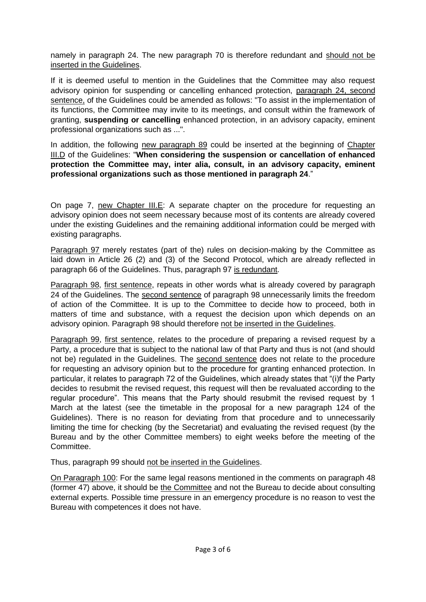namely in paragraph 24. The new paragraph 70 is therefore redundant and should not be inserted in the Guidelines.

If it is deemed useful to mention in the Guidelines that the Committee may also request advisory opinion for suspending or cancelling enhanced protection, paragraph 24, second sentence, of the Guidelines could be amended as follows: "To assist in the implementation of its functions, the Committee may invite to its meetings, and consult within the framework of granting, **suspending or cancelling** enhanced protection, in an advisory capacity, eminent professional organizations such as ...".

In addition, the following new paragraph 89 could be inserted at the beginning of Chapter III.D of the Guidelines: "**When considering the suspension or cancellation of enhanced protection the Committee may, inter alia, consult, in an advisory capacity, eminent professional organizations such as those mentioned in paragraph 24**."

On page 7, new Chapter III.E: A separate chapter on the procedure for requesting an advisory opinion does not seem necessary because most of its contents are already covered under the existing Guidelines and the remaining additional information could be merged with existing paragraphs.

Paragraph 97 merely restates (part of the) rules on decision-making by the Committee as laid down in Article 26 (2) and (3) of the Second Protocol, which are already reflected in paragraph 66 of the Guidelines. Thus, paragraph 97 is redundant.

Paragraph 98, first sentence, repeats in other words what is already covered by paragraph 24 of the Guidelines. The second sentence of paragraph 98 unnecessarily limits the freedom of action of the Committee. It is up to the Committee to decide how to proceed, both in matters of time and substance, with a request the decision upon which depends on an advisory opinion. Paragraph 98 should therefore not be inserted in the Guidelines.

Paragraph 99, first sentence, relates to the procedure of preparing a revised request by a Party, a procedure that is subject to the national law of that Party and thus is not (and should not be) regulated in the Guidelines. The second sentence does not relate to the procedure for requesting an advisory opinion but to the procedure for granting enhanced protection. In particular, it relates to paragraph 72 of the Guidelines, which already states that "(i)f the Party decides to resubmit the revised request, this request will then be revaluated according to the regular procedure". This means that the Party should resubmit the revised request by 1 March at the latest (see the timetable in the proposal for a new paragraph 124 of the Guidelines). There is no reason for deviating from that procedure and to unnecessarily limiting the time for checking (by the Secretariat) and evaluating the revised request (by the Bureau and by the other Committee members) to eight weeks before the meeting of the Committee.

Thus, paragraph 99 should not be inserted in the Guidelines.

On Paragraph 100: For the same legal reasons mentioned in the comments on paragraph 48 (former 47) above, it should be the Committee and not the Bureau to decide about consulting external experts. Possible time pressure in an emergency procedure is no reason to vest the Bureau with competences it does not have.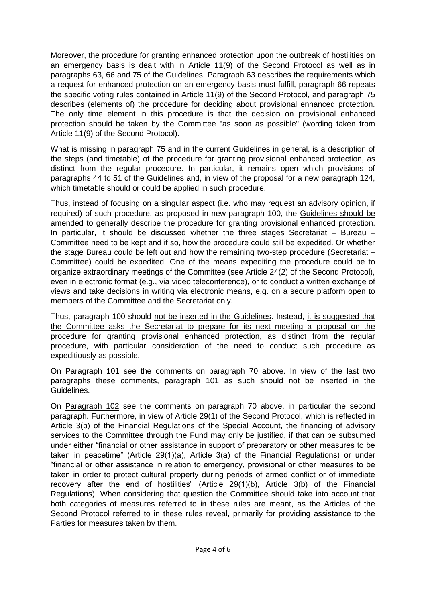Moreover, the procedure for granting enhanced protection upon the outbreak of hostilities on an emergency basis is dealt with in Article 11(9) of the Second Protocol as well as in paragraphs 63, 66 and 75 of the Guidelines. Paragraph 63 describes the requirements which a request for enhanced protection on an emergency basis must fulfill, paragraph 66 repeats the specific voting rules contained in Article 11(9) of the Second Protocol, and paragraph 75 describes (elements of) the procedure for deciding about provisional enhanced protection. The only time element in this procedure is that the decision on provisional enhanced protection should be taken by the Committee "as soon as possible" (wording taken from Article 11(9) of the Second Protocol).

What is missing in paragraph 75 and in the current Guidelines in general, is a description of the steps (and timetable) of the procedure for granting provisional enhanced protection, as distinct from the regular procedure. In particular, it remains open which provisions of paragraphs 44 to 51 of the Guidelines and, in view of the proposal for a new paragraph 124, which timetable should or could be applied in such procedure.

Thus, instead of focusing on a singular aspect (i.e. who may request an advisory opinion, if required) of such procedure, as proposed in new paragraph 100, the Guidelines should be amended to generally describe the procedure for granting provisional enhanced protection. In particular, it should be discussed whether the three stages Secretariat  $-$  Bureau  $-$ Committee need to be kept and if so, how the procedure could still be expedited. Or whether the stage Bureau could be left out and how the remaining two-step procedure (Secretariat – Committee) could be expedited. One of the means expediting the procedure could be to organize extraordinary meetings of the Committee (see Article 24(2) of the Second Protocol), even in electronic format (e.g., via video teleconference), or to conduct a written exchange of views and take decisions in writing via electronic means, e.g. on a secure platform open to members of the Committee and the Secretariat only.

Thus, paragraph 100 should not be inserted in the Guidelines. Instead, it is suggested that the Committee asks the Secretariat to prepare for its next meeting a proposal on the procedure for granting provisional enhanced protection, as distinct from the regular procedure, with particular consideration of the need to conduct such procedure as expeditiously as possible.

On Paragraph 101 see the comments on paragraph 70 above. In view of the last two paragraphs these comments, paragraph 101 as such should not be inserted in the Guidelines.

On Paragraph 102 see the comments on paragraph 70 above, in particular the second paragraph. Furthermore, in view of Article 29(1) of the Second Protocol, which is reflected in Article 3(b) of the Financial Regulations of the Special Account, the financing of advisory services to the Committee through the Fund may only be justified, if that can be subsumed under either "financial or other assistance in support of preparatory or other measures to be taken in peacetime" (Article 29(1)(a), Article 3(a) of the Financial Regulations) or under "financial or other assistance in relation to emergency, provisional or other measures to be taken in order to protect cultural property during periods of armed conflict or of immediate recovery after the end of hostilities" (Article 29(1)(b), Article 3(b) of the Financial Regulations). When considering that question the Committee should take into account that both categories of measures referred to in these rules are meant, as the Articles of the Second Protocol referred to in these rules reveal, primarily for providing assistance to the Parties for measures taken by them.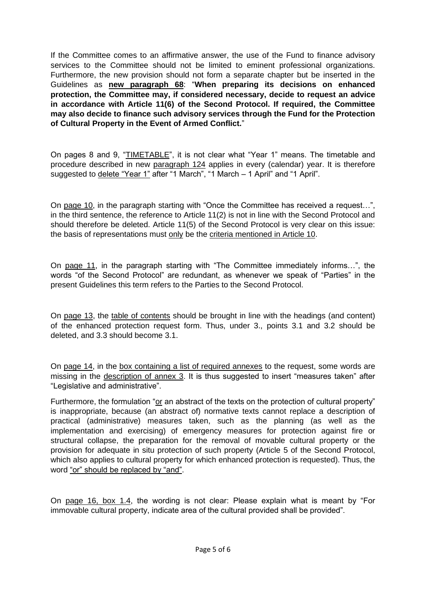If the Committee comes to an affirmative answer, the use of the Fund to finance advisory services to the Committee should not be limited to eminent professional organizations. Furthermore, the new provision should not form a separate chapter but be inserted in the Guidelines as **new paragraph 68**: "**When preparing its decisions on enhanced protection, the Committee may, if considered necessary, decide to request an advice in accordance with Article 11(6) of the Second Protocol. If required, the Committee may also decide to finance such advisory services through the Fund for the Protection of Cultural Property in the Event of Armed Conflict.**"

On pages 8 and 9, "TIMETABLE", it is not clear what "Year 1" means. The timetable and procedure described in new paragraph 124 applies in every (calendar) year. It is therefore suggested to delete "Year 1" after "1 March", "1 March – 1 April" and "1 April".

On page 10, in the paragraph starting with "Once the Committee has received a request…", in the third sentence, the reference to Article 11(2) is not in line with the Second Protocol and should therefore be deleted. Article 11(5) of the Second Protocol is very clear on this issue: the basis of representations must only be the criteria mentioned in Article 10.

On page 11, in the paragraph starting with "The Committee immediately informs…", the words "of the Second Protocol" are redundant, as whenever we speak of "Parties" in the present Guidelines this term refers to the Parties to the Second Protocol.

On page 13, the table of contents should be brought in line with the headings (and content) of the enhanced protection request form. Thus, under 3., points 3.1 and 3.2 should be deleted, and 3.3 should become 3.1.

On page 14, in the box containing a list of required annexes to the request, some words are missing in the description of annex 3. It is thus suggested to insert "measures taken" after "Legislative and administrative".

Furthermore, the formulation "or an abstract of the texts on the protection of cultural property" is inappropriate, because (an abstract of) normative texts cannot replace a description of practical (administrative) measures taken, such as the planning (as well as the implementation and exercising) of emergency measures for protection against fire or structural collapse, the preparation for the removal of movable cultural property or the provision for adequate in situ protection of such property (Article 5 of the Second Protocol, which also applies to cultural property for which enhanced protection is requested). Thus, the word "or" should be replaced by "and".

On page 16, box 1.4, the wording is not clear: Please explain what is meant by "For immovable cultural property, indicate area of the cultural provided shall be provided".